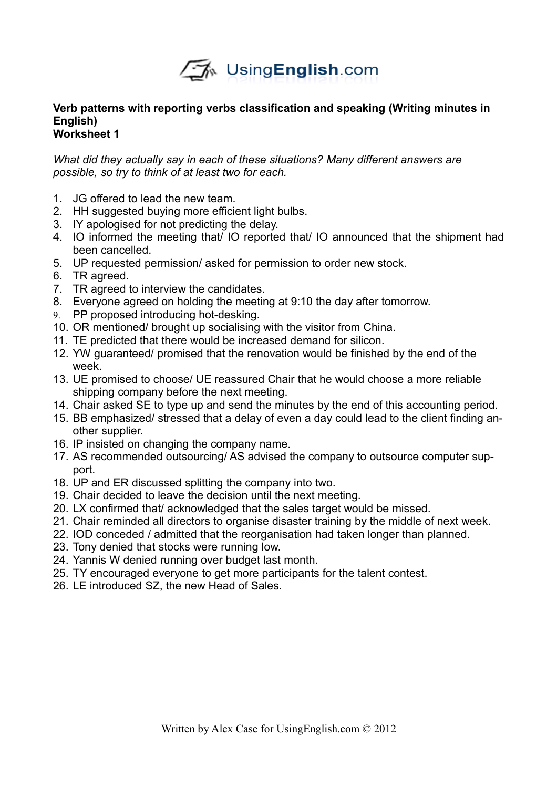

# **Verb patterns with reporting verbs classification and speaking (Writing minutes in English)**

## **Worksheet 1**

*What did they actually say in each of these situations? Many different answers are possible, so try to think of at least two for each.*

- 1. JG offered to lead the new team.
- 2. HH suggested buying more efficient light bulbs.
- 3. IY apologised for not predicting the delay.
- 4. IO informed the meeting that/ IO reported that/ IO announced that the shipment had been cancelled.
- 5. UP requested permission/ asked for permission to order new stock.
- 6. TR agreed.
- 7. TR agreed to interview the candidates.
- 8. Everyone agreed on holding the meeting at 9:10 the day after tomorrow.
- 9. PP proposed introducing hot-desking.
- 10. OR mentioned/ brought up socialising with the visitor from China.
- 11. TE predicted that there would be increased demand for silicon.
- 12. YW guaranteed/ promised that the renovation would be finished by the end of the week.
- 13. UE promised to choose/ UE reassured Chair that he would choose a more reliable shipping company before the next meeting.
- 14. Chair asked SE to type up and send the minutes by the end of this accounting period.
- 15. BB emphasized/ stressed that a delay of even a day could lead to the client finding another supplier.
- 16. IP insisted on changing the company name.
- 17. AS recommended outsourcing/ AS advised the company to outsource computer support.
- 18. UP and ER discussed splitting the company into two.
- 19. Chair decided to leave the decision until the next meeting.
- 20. LX confirmed that/ acknowledged that the sales target would be missed.
- 21. Chair reminded all directors to organise disaster training by the middle of next week.
- 22. IOD conceded / admitted that the reorganisation had taken longer than planned.
- 23. Tony denied that stocks were running low.
- 24. Yannis W denied running over budget last month.
- 25. TY encouraged everyone to get more participants for the talent contest.
- 26. LE introduced SZ, the new Head of Sales.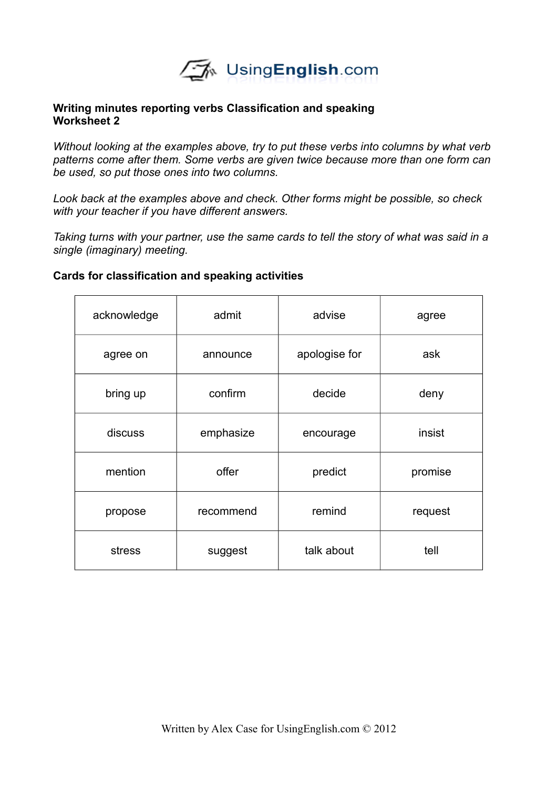

## **Writing minutes reporting verbs Classification and speaking Worksheet 2**

*Without looking at the examples above, try to put these verbs into columns by what verb patterns come after them. Some verbs are given twice because more than one form can be used, so put those ones into two columns.*

*Look back at the examples above and check. Other forms might be possible, so check with your teacher if you have different answers.*

*Taking turns with your partner, use the same cards to tell the story of what was said in a single (imaginary) meeting.*

## **Cards for classification and speaking activities**

| acknowledge | admit     | advise        | agree   |
|-------------|-----------|---------------|---------|
| agree on    | announce  | apologise for | ask     |
| bring up    | confirm   | decide        | deny    |
| discuss     | emphasize | encourage     | insist  |
| mention     | offer     | predict       | promise |
| propose     | recommend | remind        | request |
| stress      | suggest   | talk about    | tell    |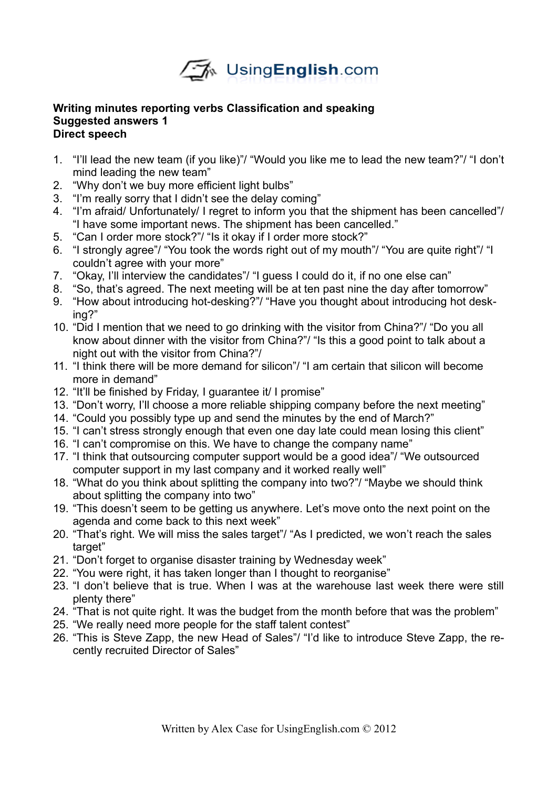

## **Writing minutes reporting verbs Classification and speaking Suggested answers 1 Direct speech**

- 1. "I'll lead the new team (if you like)"/ "Would you like me to lead the new team?"/ "I don't mind leading the new team"
- 2. "Why don't we buy more efficient light bulbs"
- 3. "I'm really sorry that I didn't see the delay coming"
- 4. "I'm afraid/ Unfortunately/ I regret to inform you that the shipment has been cancelled"/ "I have some important news. The shipment has been cancelled."
- 5. "Can I order more stock?"/ "Is it okay if I order more stock?"
- 6. "I strongly agree"/ "You took the words right out of my mouth"/ "You are quite right"/ "I couldn't agree with your more"
- 7. "Okay, I'll interview the candidates"/ "I guess I could do it, if no one else can"
- 8. "So, that's agreed. The next meeting will be at ten past nine the day after tomorrow"
- 9. "How about introducing hot-desking?"/ "Have you thought about introducing hot desking?"
- 10. "Did I mention that we need to go drinking with the visitor from China?"/ "Do you all know about dinner with the visitor from China?"/ "Is this a good point to talk about a night out with the visitor from China?"/
- 11. "I think there will be more demand for silicon"/ "I am certain that silicon will become more in demand"
- 12. "It'll be finished by Friday, I guarantee it/ I promise"
- 13. "Don't worry, I'll choose a more reliable shipping company before the next meeting"
- 14. "Could you possibly type up and send the minutes by the end of March?"
- 15. "I can't stress strongly enough that even one day late could mean losing this client"
- 16. "I can't compromise on this. We have to change the company name"
- 17. "I think that outsourcing computer support would be a good idea"/ "We outsourced computer support in my last company and it worked really well"
- 18. "What do you think about splitting the company into two?"/ "Maybe we should think about splitting the company into two"
- 19. "This doesn't seem to be getting us anywhere. Let's move onto the next point on the agenda and come back to this next week"
- 20. "That's right. We will miss the sales target"/ "As I predicted, we won't reach the sales target"
- 21. "Don't forget to organise disaster training by Wednesday week"
- 22. "You were right, it has taken longer than I thought to reorganise"
- 23. "I don't believe that is true. When I was at the warehouse last week there were still plenty there"
- 24. "That is not quite right. It was the budget from the month before that was the problem"
- 25. "We really need more people for the staff talent contest"
- 26. "This is Steve Zapp, the new Head of Sales"/ "I'd like to introduce Steve Zapp, the recently recruited Director of Sales"